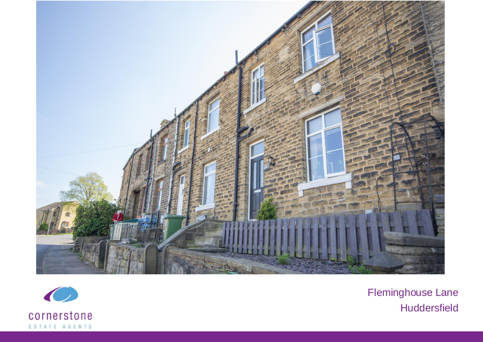



Fleminghouse Lane **Huddersfield**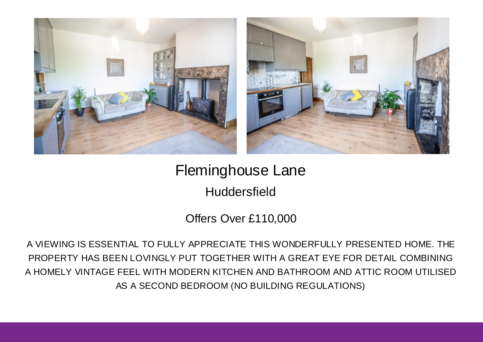



Fleminghouse Lane

**Huddersfield** 

Offers Over £110,000

A VIEWING IS ESSENTIAL TO FULLY APPRECIATE THIS WONDERFULLY PRESENTED HOME. THE PROPERTY HAS BEEN LOVINGLY PUT TOGETHER WITH A GREAT EYE FOR DETAIL COMBINING A HOMELY VINTAGE FEEL WITH MODERN KITCHEN AND BATHROOM AND ATTIC ROOM UTILISED AS A SECOND BEDROOM (NO BUILDING REGULATIONS)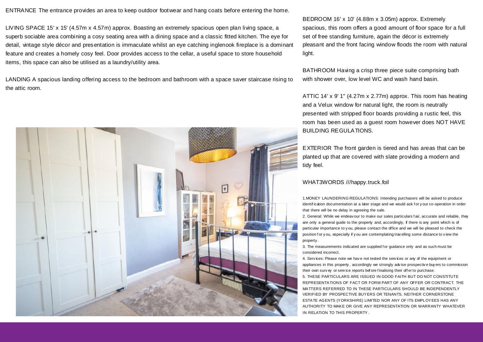ENTRANCE The entrance provides an area to keep outdoor footwear and hang coats before entering the home.

LIVING SPACE 15' x 15' (4.57m x 4.57m) approx. Boasting an extremely spacious open plan living space, a superb sociable area combining a cosy seating area with a dining space and a classic fitted kitchen. The eye for detail, vintage style décor and presentation is immaculate whilst an eye catching inglenook fireplace is a dominant feature and creates a homely cosy feel. Door provides access to the cellar, a useful space to store household items, this space can also be utilised as a laundry/utility area.

LANDING A spacious landing offering access to the bedroom and bathroom with a space saver staircase rising to the attic room.



BEDROOM 16' x 10' (4.88m x 3.05m) approx. Extremely spacious, this room offers a good amount of floor space for a full set of free standing furniture, again the décor is extremely pleasant and the front facing window floods the room with natural light.

BATHROOM Having a crisp three piece suite comprising bath with shower over, low level WC and wash hand basin.

ATTIC 14' x 9' 1" (4.27m x 2.77m) approx. This room has heating and a Velux window for natural light, the room is neutrally presented with stripped floor boards providing a rustic feel, this room has been used as a guest room however does NOT HAVE BUILDING REGULATIONS.

EXTERIOR The front garden is tiered and has areas that can be planted up that are covered with slate providing a modern and tidy feel.

## WHAT3WORDS ///happy.truck.foil

1.MONEY LAUNDERING REGULATIONS: Intending purchasers will be asked to produce identification documentation at a later stage and we would ask for y our co-operation in order that there will be no delay in agreeing the sale.

2. General: While we endeav our to make our sales particulars f air, accurate and reliable, they are only a general guide to the property and, accordingly, if there is any point which is of particular importance to y ou, please contact the office and we will be pleased to check the position f or y ou, especially if y ou are contemplating travelling some distance to view the property .

3. The measurements indicated are supplied for guidance only and as such must be considered incorrect.

4. Serv ices: Please note we hav e not tested the serv ices or any of the equipment or appliances in this property , accordingly we strongly adv ise prospectiv e buy ers to commission their own surv ey or service reports before finalising their off er to purchase. 5. THESE PARTICULARS ARE ISSUED IN GOOD FAITH BUT DO NOT CONSTITUTE REPRESENTATIONS OF FACT OR FORM PART OF ANY OFFER OR CONTRACT. THE MATTERS REFERRED TO IN THESE PARTICULARS SHOULD BE INDEPENDENTLY VERIFIED BY PROSPECTIVE BUYERS OR TENANTS. NEITHER CORNERSTONE ESTATE AGENTS (YORKSHIRE) LIMITED NOR ANY OF ITS EMPLOYEES HAS ANY AUTHORITY TO MAKE OR GIVE ANY REPRESENTATION OR WARRANTY WHATEVER IN RELATION TO THIS PROPERTY.